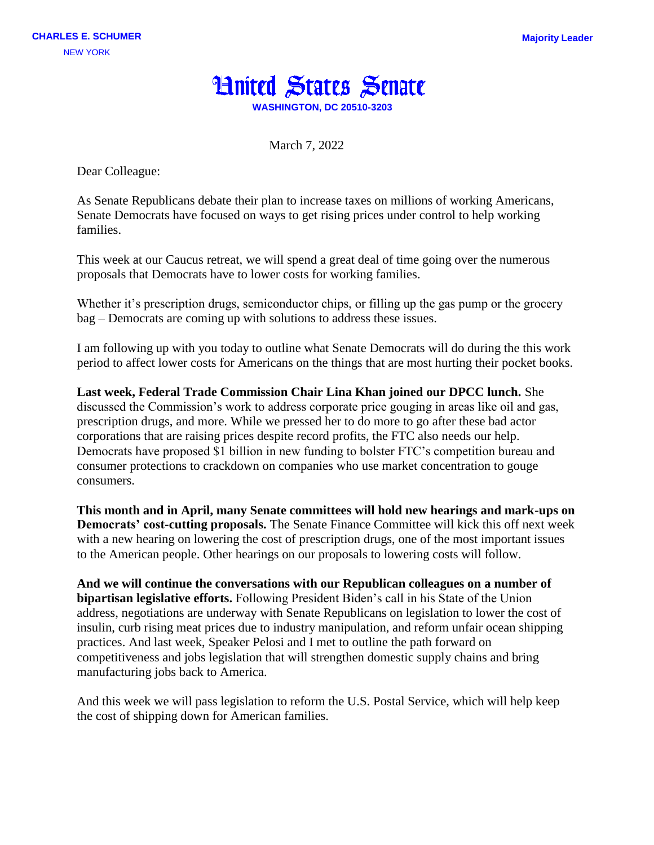

March 7, 2022

Dear Colleague:

As Senate Republicans debate their plan to increase taxes on millions of working Americans, Senate Democrats have focused on ways to get rising prices under control to help working families.

This week at our Caucus retreat, we will spend a great deal of time going over the numerous proposals that Democrats have to lower costs for working families.

Whether it's prescription drugs, semiconductor chips, or filling up the gas pump or the grocery bag – Democrats are coming up with solutions to address these issues.

I am following up with you today to outline what Senate Democrats will do during the this work period to affect lower costs for Americans on the things that are most hurting their pocket books.

**Last week, Federal Trade Commission Chair Lina Khan joined our DPCC lunch.** She discussed the Commission's work to address corporate price gouging in areas like oil and gas, prescription drugs, and more. While we pressed her to do more to go after these bad actor corporations that are raising prices despite record profits, the FTC also needs our help. Democrats have proposed \$1 billion in new funding to bolster FTC's competition bureau and consumer protections to crackdown on companies who use market concentration to gouge consumers.

**This month and in April, many Senate committees will hold new hearings and mark-ups on Democrats' cost-cutting proposals.** The Senate Finance Committee will kick this off next week with a new hearing on lowering the cost of prescription drugs, one of the most important issues to the American people. Other hearings on our proposals to lowering costs will follow.

**And we will continue the conversations with our Republican colleagues on a number of bipartisan legislative efforts.** Following President Biden's call in his State of the Union address, negotiations are underway with Senate Republicans on legislation to lower the cost of insulin, curb rising meat prices due to industry manipulation, and reform unfair ocean shipping practices. And last week, Speaker Pelosi and I met to outline the path forward on competitiveness and jobs legislation that will strengthen domestic supply chains and bring manufacturing jobs back to America.

And this week we will pass legislation to reform the U.S. Postal Service, which will help keep the cost of shipping down for American families.